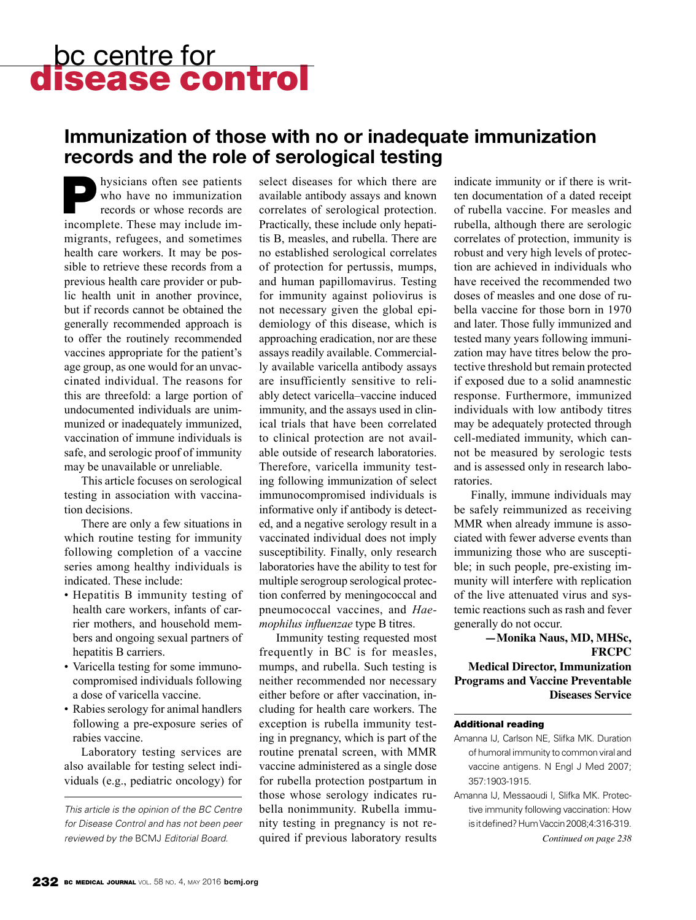# bc centre for<br>**disease control**

## **Immunization of those with no or inadequate immunization records and the role of serological testing**

hysicians often see patients who have no immunization records or whose records are incomplete. These may include immigrants, refugees, and sometimes health care workers. It may be possible to retrieve these records from a previous health care provider or public health unit in another province, but if records cannot be obtained the generally recommended approach is to offer the routinely recommended vaccines appropriate for the patient's age group, as one would for an unvaccinated individual. The reasons for this are threefold: a large portion of undocumented individuals are unimmunized or inadequately immunized, vaccination of immune individuals is safe, and serologic proof of immunity may be unavailable or unreliable.

This article focuses on serological testing in association with vaccination decisions.

There are only a few situations in which routine testing for immunity following completion of a vaccine series among healthy individuals is indicated. These include:

- Hepatitis B immunity testing of health care workers, infants of carrier mothers, and household members and ongoing sexual partners of hepatitis B carriers.
- • Varicella testing for some immunocompromised individuals following a dose of varicella vaccine.
- Rabies serology for animal handlers following a pre-exposure series of rabies vaccine.

Laboratory testing services are also available for testing select individuals (e.g., pediatric oncology) for

*This article is the opinion of the BC Centre for Disease Control and has not been peer*  select diseases for which there are available antibody assays and known correlates of serological protection. Practically, these include only hepatitis B, measles, and rubella. There are no established serological correlates of protection for pertussis, mumps, and human papillomavirus. Testing for immunity against poliovirus is not necessary given the global epidemiology of this disease, which is approaching eradication, nor are these assays readily available. Commercially available varicella antibody assays are insufficiently sensitive to reliably detect varicella–vaccine induced immunity, and the assays used in clinical trials that have been correlated to clinical protection are not available outside of research laboratories. Therefore, varicella immunity testing following immunization of select immunocompromised individuals is informative only if antibody is detected, and a negative serology result in a vaccinated individual does not imply susceptibility. Finally, only research laboratories have the ability to test for multiple serogroup serological protection conferred by meningococcal and pneumococcal vaccines, and *Haemophilus influenzae* type B titres.

Immunity testing requested most frequently in BC is for measles, mumps, and rubella. Such testing is neither recommended nor necessary either before or after vaccination, including for health care workers. The exception is rubella immunity testing in pregnancy, which is part of the routine prenatal screen, with MMR vaccine administered as a single dose for rubella protection postpartum in those whose serology indicates rubella nonimmunity. Rubella immunity testing in pregnancy is not required if previous laboratory results *reviewed by the* BCMJ *Editorial Board. Continued on page 238*

indicate immunity or if there is written documentation of a dated receipt of rubella vaccine. For measles and rubella, although there are serologic correlates of protection, immunity is robust and very high levels of protection are achieved in individuals who have received the recommended two doses of measles and one dose of rubella vaccine for those born in 1970 and later. Those fully immunized and tested many years following immunization may have titres below the protective threshold but remain protected if exposed due to a solid anamnestic response. Furthermore, immunized individuals with low antibody titres may be adequately protected through cell-mediated immunity, which cannot be measured by serologic tests and is assessed only in research laboratories.

Finally, immune individuals may be safely reimmunized as receiving MMR when already immune is associated with fewer adverse events than immunizing those who are susceptible; in such people, pre-existing immunity will interfere with replication of the live attenuated virus and systemic reactions such as rash and fever generally do not occur.

#### **—Monika Naus, MD, MHSc, FRCPC Medical Director, Immunization Programs and Vaccine Preventable Diseases Service**

#### Additional reading

- Amanna IJ, Carlson NE, Slifka MK. Duration of humoral immunity to common viral and vaccine antigens. N Engl J Med 2007; 357:1903-1915.
- Amanna IJ, Messaoudi I, Slifka MK. Protective immunity following vaccination: How is it defined? Hum Vaccin 2008;4:316-319.